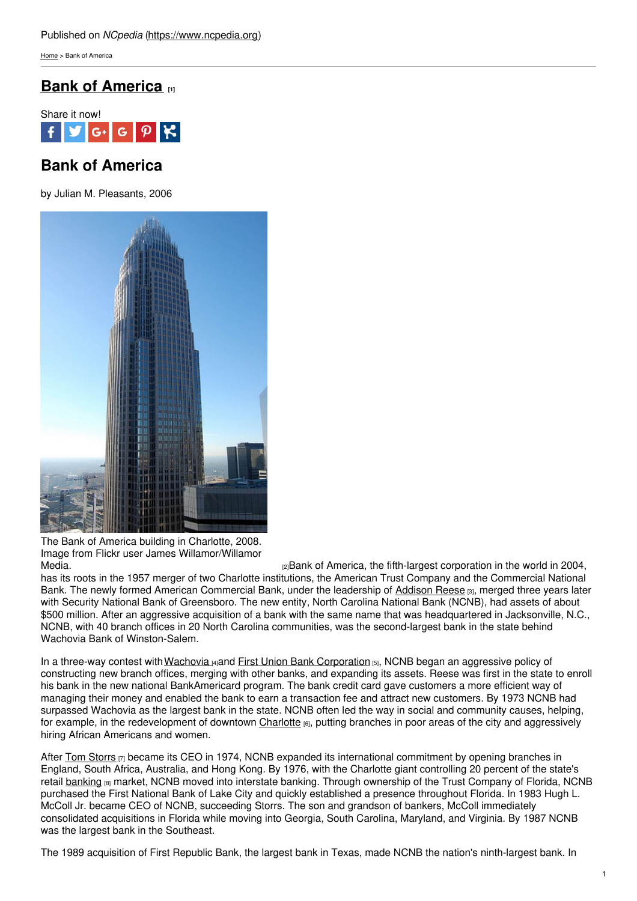[Home](https://www.ncpedia.org/) > Bank of America

# **Bank of [America](https://www.ncpedia.org/bank-america) [1]**



# **Bank of America**

by Julian M. Pleasants, 2006



The Bank of America building in Charlotte, 2008. Image from Flickr user James Willamor/Willamor

[Media.](https://www.flickr.com/photos/bz3rk/2946926115/) The same of America, the fifth-largest corporation in the world in 2004, has its roots in the 1957 merger of two Charlotte institutions, the American Trust Company and the Commercial National Bank. The newly formed American Commercial Bank, under the leadership of [Addison](https://www.ncpedia.org/biography/reese-addison-hardcastle) Reese [3], merged three years later with Security National Bank of Greensboro. The new entity, North Carolina National Bank (NCNB), had assets of about \$500 million. After an aggressive acquisition of a bank with the same name that was headquartered in Jacksonville, N.C., NCNB, with 40 branch offices in 20 North Carolina communities, was the second-largest bank in the state behind Wachovia Bank of Winston-Salem.

In a three-way contest with [Wachovia](https://www.ncpedia.org/wachovia-corporation) [4]and First Union Bank [Corporation](https://www.ncpedia.org/first-union-bank-corporation) [5], NCNB began an aggressive policy of constructing new branch offices, merging with other banks, and expanding its assets. Reese was first in the state to enroll his bank in the new national BankAmericard program. The bank credit card gave customers a more efficient way of managing their money and enabled the bank to earn a transaction fee and attract new customers. By 1973 NCNB had surpassed Wachovia as the largest bank in the state. NCNB often led the way in social and community causes, helping, for example, in the redevelopment of downtown [Charlotte](https://www.ncpedia.org/geography/charlotte) [6], putting branches in poor areas of the city and aggressively hiring African Americans and women.

After Tom [Storrs](http://www.reuters.com/article/2012/02/12/bankofamerica-storrs-idUSL2E8DC1IS20120212)  $\overline{z}$  became its CEO in 1974, NCNB expanded its international commitment by opening branches in England, South Africa, Australia, and Hong Kong. By 1976, with the Charlotte giant controlling 20 percent of the state's retail [banking](https://www.ncpedia.org/banking) [8] market, NCNB moved into interstate banking. Through ownership of the Trust Company of Florida, NCNB purchased the First National Bank of Lake City and quickly established a presence throughout Florida. In 1983 Hugh L. McColl Jr. became CEO of NCNB, succeeding Storrs. The son and grandson of bankers, McColl immediately consolidated acquisitions in Florida while moving into Georgia, South Carolina, Maryland, and Virginia. By 1987 NCNB was the largest bank in the Southeast.

The 1989 acquisition of First Republic Bank, the largest bank in Texas, made NCNB the nation's ninth-largest bank. In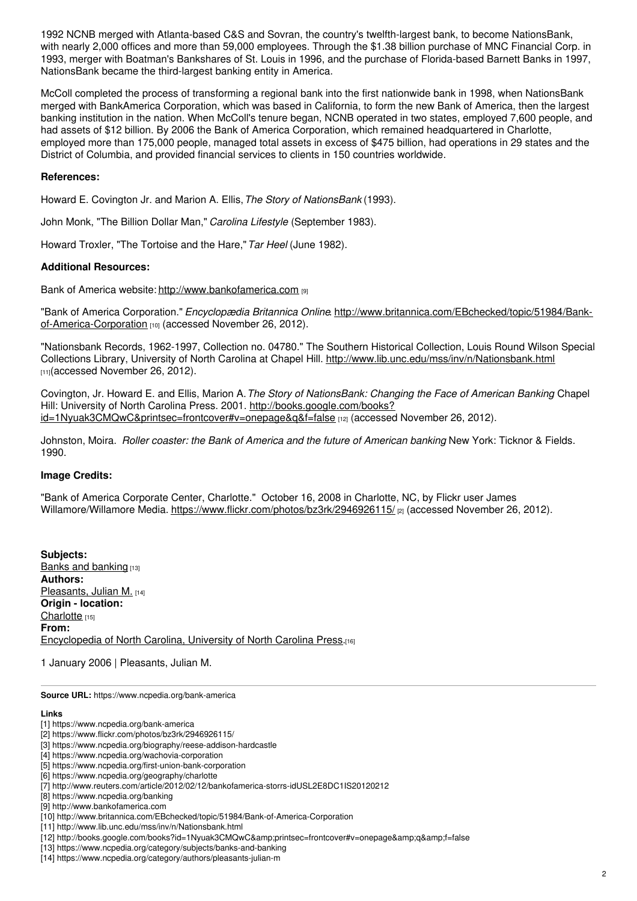1992 NCNB merged with Atlanta-based C&S and Sovran, the country's twelfth-largest bank, to become NationsBank, with nearly 2,000 offices and more than 59,000 employees. Through the \$1.38 billion purchase of MNC Financial Corp. in 1993, merger with Boatman's Bankshares of St. Louis in 1996, and the purchase of Florida-based Barnett Banks in 1997, NationsBank became the third-largest banking entity in America.

McColl completed the process of transforming a regional bank into the first nationwide bank in 1998, when NationsBank merged with BankAmerica Corporation, which was based in California, to form the new Bank of America, then the largest banking institution in the nation. When McColl's tenure began, NCNB operated in two states, employed 7,600 people, and had assets of \$12 billion. By 2006 the Bank of America Corporation, which remained headquartered in Charlotte, employed more than 175,000 people, managed total assets in excess of \$475 billion, had operations in 29 states and the District of Columbia, and provided financial services to clients in 150 countries worldwide.

### **References:**

Howard E. Covington Jr. and Marion A. Ellis,*The Story of NationsBank* (1993).

John Monk, "The Billion Dollar Man," *Carolina Lifestyle* (September 1983).

Howard Troxler, "The Tortoise and the Hare,"*Tar Heel* (June 1982).

### **Additional Resources:**

Bank of America website: <http://www.bankofamerica.com> [9]

"Bank of America Corporation." *Encyclopædia Britannica Online*. [http://www.britannica.com/EBchecked/topic/51984/Bank](http://www.britannica.com/EBchecked/topic/51984/Bank-of-America-Corporation)of-America-Corporation [10] (accessed November 26, 2012).

"Nationsbank Records, 1962-1997, Collection no. 04780." The Southern Historical Collection, Louis Round Wilson Special Collections Library, University of North Carolina at Chapel Hill. <http://www.lib.unc.edu/mss/inv/n/Nationsbank.html> [11](accessed November 26, 2012).

Covington, Jr. Howard E. and Ellis, Marion A.*The Story of NationsBank: Changing the Face of American Banking*. Chapel Hill: University of North Carolina Press. 2001. http://books.google.com/books? [id=1Nyuak3CMQwC&printsec=frontcover#v=onepage&q&f=false](http://books.google.com/books?id=1Nyuak3CMQwC&printsec=frontcover#v=onepage&q&f=false) [12] (accessed November 26, 2012).

Johnston, Moira. *Roller coaster: the Bank of America and the future of American banking*. New York: Ticknor & Fields. 1990.

### **Image Credits:**

"Bank of America Corporate Center, Charlotte." October 16, 2008 in Charlotte, NC, by Flickr user James Willamore/Willamore Media. <https://www.flickr.com/photos/bz3rk/2946926115/> <sub>[2]</sub> (accessed November 26, 2012).

**Subjects:** Banks and [banking](https://www.ncpedia.org/category/subjects/banks-and-banking) [13] **Authors:** [Pleasants,](https://www.ncpedia.org/category/authors/pleasants-julian-m) Julian M. [14] **Origin - location:** [Charlotte](https://www.ncpedia.org/category/origin-location/piedmon-24) [15] **From:** [Encyclopedia](https://www.ncpedia.org/category/entry-source/encyclopedia-) of North Carolina, University of North Carolina Press.[16]

1 January 2006 | Pleasants, Julian M.

**Source URL:** https://www.ncpedia.org/bank-america

#### **Links**

- [2] https://www.flickr.com/photos/bz3rk/2946926115/
- [3] https://www.ncpedia.org/biography/reese-addison-hardcastle

[13] https://www.ncpedia.org/category/subjects/banks-and-banking

<sup>[1]</sup> https://www.ncpedia.org/bank-america

<sup>[4]</sup> https://www.ncpedia.org/wachovia-corporation

<sup>[5]</sup> https://www.ncpedia.org/first-union-bank-corporation

<sup>[6]</sup> https://www.ncpedia.org/geography/charlotte

<sup>[7]</sup> http://www.reuters.com/article/2012/02/12/bankofamerica-storrs-idUSL2E8DC1IS20120212

<sup>[8]</sup> https://www.ncpedia.org/banking

<sup>[9]</sup> http://www.bankofamerica.com

<sup>[10]</sup> http://www.britannica.com/EBchecked/topic/51984/Bank-of-America-Corporation

<sup>[11]</sup> http://www.lib.unc.edu/mss/inv/n/Nationsbank.html

<sup>[12]</sup> http://books.google.com/books?id=1Nyuak3CMQwC&printsec=frontcover#v=onepage&q&f=false

<sup>[14]</sup> https://www.ncpedia.org/category/authors/pleasants-julian-m